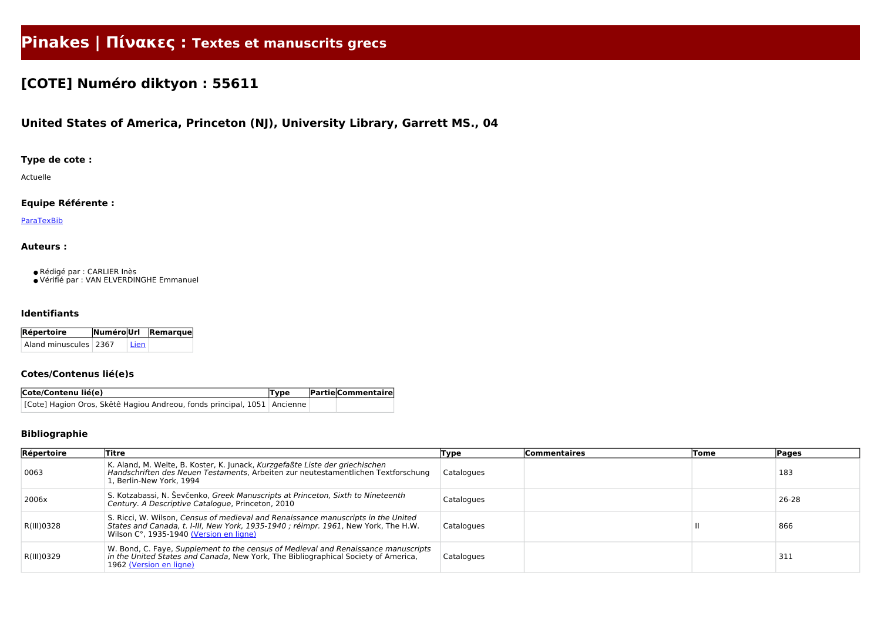# **Pinakes | Πίνακες : Textes et manuscrits grecs**

## **[COTE] Numéro diktyon : 55611**

## **United States of America, Princeton (NJ), University Library, Garrett MS., 04**

#### **Type de cote :**

Actuelle

#### **Equipe Référente :**

**[ParaTexBib](http://www.paratexbib.eu)** 

#### **Auteurs :**

● Rédigé par : CARLIER Inès

● Vérifié par : VAN ELVERDINGHE Emmanuel

#### **Identifiants**

| Répertoire            |        | NuméroUrl Remarque |
|-----------------------|--------|--------------------|
| Aland minuscules 2367 | ' Lien |                    |

#### **Cotes/Contenus lié(e)s**

| Cote/Contenu lié(e)                                                        | Type | <b>Partie Commentaire</b> |
|----------------------------------------------------------------------------|------|---------------------------|
| [Cote] Hagion Oros, Skêtê Hagiou Andreou, fonds principal, 1051   Ancienne |      |                           |

#### **Bibliographie**

| Répertoire | Titre                                                                                                                                                                                                               | Type       | <b>Commentaires</b> | Tome | <b>Pages</b> |
|------------|---------------------------------------------------------------------------------------------------------------------------------------------------------------------------------------------------------------------|------------|---------------------|------|--------------|
| 0063       | K. Aland, M. Welte, B. Koster, K. Junack, Kurzgefaßte Liste der griechischen<br>Handschriften des Neuen Testaments, Arbeiten zur neutestamentlichen Textforschung<br>1, Berlin-New York, 1994                       | Catalogues |                     |      | 183          |
| 2006x      | S. Kotzabassi, N. Ševčenko, Greek Manuscripts at Princeton, Sixth to Nineteenth<br>Century. A Descriptive Catalogue, Princeton, 2010                                                                                | Catalogues |                     |      | 26-28        |
| R(III)0328 | S. Ricci, W. Wilson, Census of medieval and Renaissance manuscripts in the United<br>States and Canada, t. I-III, New York, 1935-1940 ; réimpr. 1961, New York, The H.W.<br>Wilson C°, 1935-1940 (Version en ligne) | Catalogues |                     |      | 866          |
| R(III)0329 | W. Bond, C. Faye, Supplement to the census of Medieval and Renaissance manuscripts<br>in the United States and Canada, New York, The Bibliographical Society of America,<br>1962 (Version en ligne)                 | Catalogues |                     |      | 311          |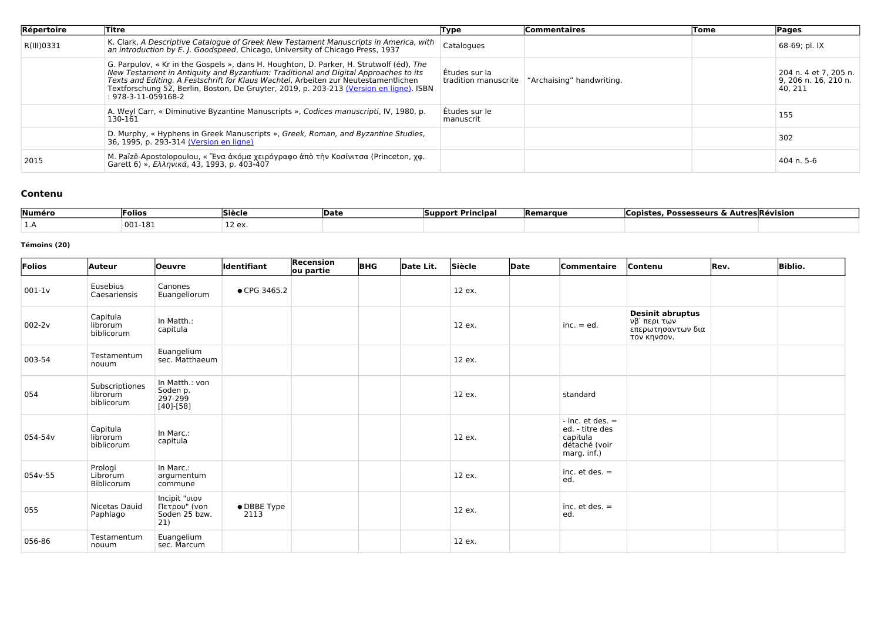| Répertoire | Titre                                                                                                                                                                                                                                                                                                                                                                                             | Type                                  | <b>Commentaires</b>       | Tome | Pages                                                      |
|------------|---------------------------------------------------------------------------------------------------------------------------------------------------------------------------------------------------------------------------------------------------------------------------------------------------------------------------------------------------------------------------------------------------|---------------------------------------|---------------------------|------|------------------------------------------------------------|
| R(III)0331 | K. Clark, A Descriptive Catalogue of Greek New Testament Manuscripts in America, with<br>an introduction by E. J. Goodspeed, Chicago, University of Chicago Press, 1937                                                                                                                                                                                                                           | Catalogues                            |                           |      | 68-69; pl. IX                                              |
|            | G. Parpulov, « Kr in the Gospels », dans H. Houghton, D. Parker, H. Strutwolf (éd), The<br>New Testament in Antiquity and Byzantium: Traditional and Digital Approaches to its<br>Texts and Editing. A Festschrift for Klaus Wachtel, Arbeiten zur Neutestamentlichen<br>Textforschung 52, Berlin, Boston, De Gruyter, 2019, p. 203-213 (Version en ligne). ISBN<br>$: 978 - 3 - 11 - 059168 - 2$ | Études sur la<br>tradition manuscrite | "Archaising" handwriting. |      | 204 n. 4 et 7, 205 n.<br>9, 206 n. 16, 210 n.<br>  40, 211 |
|            | A. Weyl Carr, « Diminutive Byzantine Manuscripts », Codices manuscripti, IV, 1980, p.<br>130-161                                                                                                                                                                                                                                                                                                  | Études sur le<br>manuscrit            |                           |      | 155                                                        |
|            | D. Murphy, « Hyphens in Greek Manuscripts », Greek, Roman, and Byzantine Studies,<br>36, 1995, p. 293-314 (Version en ligne)                                                                                                                                                                                                                                                                      |                                       |                           |      | 302                                                        |
| 2015       | M. Païzê-Apostolopoulou, « Ένα άκόμα χειρόγραφο άπο την Κοσίνιτσα (Princeton, χφ.<br>Garett 6) », Ελληνικά, 43, 1993, p. 403-407                                                                                                                                                                                                                                                                  |                                       |                           |      | 404 n. 5-6                                                 |

### **Contenu**

| Numéro | Folios  | Siècle       | <b>IDate</b> | . rincipal<br>ISUNNOrt | <b>IRemarque</b> | s & Autres।Révision<br><b>Possesseurs</b><br>nnistr |
|--------|---------|--------------|--------------|------------------------|------------------|-----------------------------------------------------|
|        | 001-181 | ים 7<br>$+2$ |              |                        |                  |                                                     |

#### **Témoins (20)**

| Folios     | Auteur                                   | <b>Oeuvre</b>                                            | ldentifiant         | <b>Recension</b><br>ou partie | <b>BHG</b> | Date Lit. | Siècle | Date | Commentaire                                                                         | Contenu                                                                     | Rev. | <b>Biblio.</b> |
|------------|------------------------------------------|----------------------------------------------------------|---------------------|-------------------------------|------------|-----------|--------|------|-------------------------------------------------------------------------------------|-----------------------------------------------------------------------------|------|----------------|
| $001-1v$   | Eusebius<br>Caesariensis                 | Canones<br>Euangeliorum                                  | • CPG 3465.2        |                               |            |           | 12 ex. |      |                                                                                     |                                                                             |      |                |
| $002 - 2v$ | Capitula<br>librorum<br>biblicorum       | In Matth.:<br>capitula                                   |                     |                               |            |           | 12 ex. |      | $inc. = ed.$                                                                        | <b>Desinit abruptus</b><br>νβ' περι των<br>επερωτησαντων δια<br>τον κηνσον. |      |                |
| 003-54     | Testamentum<br>nouum                     | Euangelium<br>sec. Matthaeum                             |                     |                               |            |           | 12 ex. |      |                                                                                     |                                                                             |      |                |
| 054        | Subscriptiones<br>librorum<br>biblicorum | In Matth.: von<br>Soden p.<br>297-299<br>$[40]$ - $[58]$ |                     |                               |            |           | 12 ex. |      | standard                                                                            |                                                                             |      |                |
| 054-54v    | Capitula<br>librorum<br>biblicorum       | In Marc.:<br>capitula                                    |                     |                               |            |           | 12 ex. |      | $-$ inc. et des. $=$<br>ed. - titre des<br>capitula<br>détaché (voir<br>marg. inf.) |                                                                             |      |                |
| 054v-55    | Prologi<br>Librorum<br>Biblicorum        | In Marc.:<br>argumentum<br>commune                       |                     |                               |            |           | 12 ex. |      | inc. $et$ des. $=$<br>ed.                                                           |                                                                             |      |                |
| 055        | Nicetas Dauid<br>Paphlago                | Incipit "viov<br>Πετρου" (von<br>Soden 25 bzw.<br>21)    | • DBBE Type<br>2113 |                               |            |           | 12 ex. |      | inc. $et$ des. $=$<br>ed.                                                           |                                                                             |      |                |
| 056-86     | Testamentum<br>nouum                     | Euangelium<br>sec. Marcum                                |                     |                               |            |           | 12 ex. |      |                                                                                     |                                                                             |      |                |